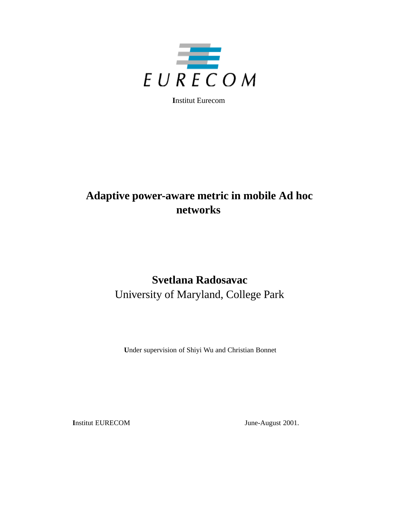

**I**nstitut Eurecom

# **Adaptive power-aware metric in mobile Ad hoc networks**

# **Svetlana Radosavac** University of Maryland, College Park

**U**nder supervision of Shiyi Wu and Christian Bonnet

**I**nstitut EURECOM June-August 2001.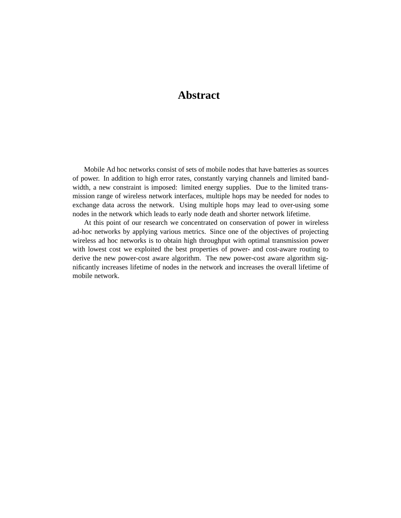## **Abstract**

Mobile Ad hoc networks consist of sets of mobile nodes that have batteries as sources of power. In addition to high error rates, constantly varying channels and limited bandwidth, a new constraint is imposed: limited energy supplies. Due to the limited transmission range of wireless network interfaces, multiple hops may be needed for nodes to exchange data across the network. Using multiple hops may lead to over-using some nodes in the network which leads to early node death and shorter network lifetime.

At this point of our research we concentrated on conservation of power in wireless ad-hoc networks by applying various metrics. Since one of the objectives of projecting wireless ad hoc networks is to obtain high throughput with optimal transmission power with lowest cost we exploited the best properties of power- and cost-aware routing to derive the new power-cost aware algorithm. The new power-cost aware algorithm significantly increases lifetime of nodes in the network and increases the overall lifetime of mobile network.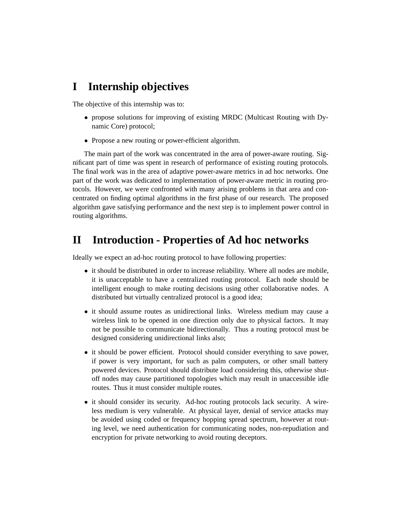## **I Internship objectives**

The objective of this internship was to:

- propose solutions for improving of existing MRDC (Multicast Routing with Dynamic Core) protocol;
- Propose a new routing or power-efficient algorithm.

The main part of the work was concentrated in the area of power-aware routing. Significant part of time was spent in research of performance of existing routing protocols. The final work was in the area of adaptive power-aware metrics in ad hoc networks. One part of the work was dedicated to implementation of power-aware metric in routing protocols. However, we were confronted with many arising problems in that area and concentrated on finding optimal algorithms in the first phase of our research. The proposed algorithm gave satisfying performance and the next step is to implement power control in routing algorithms.

## **II Introduction - Properties of Ad hoc networks**

Ideally we expect an ad-hoc routing protocol to have following properties:

- it should be distributed in order to increase reliability. Where all nodes are mobile, it is unacceptable to have a centralized routing protocol. Each node should be intelligent enough to make routing decisions using other collaborative nodes. A distributed but virtually centralized protocol is a good idea;
- it should assume routes as unidirectional links. Wireless medium may cause a wireless link to be opened in one direction only due to physical factors. It may not be possible to communicate bidirectionally. Thus a routing protocol must be designed considering unidirectional links also;
- it should be power efficient. Protocol should consider everything to save power, if power is very important, for such as palm computers, or other small battery powered devices. Protocol should distribute load considering this, otherwise shutoff nodes may cause partitioned topologies which may result in unaccessible idle routes. Thus it must consider multiple routes.
- it should consider its security. Ad-hoc routing protocols lack security. A wireless medium is very vulnerable. At physical layer, denial of service attacks may be avoided using coded or frequency hopping spread spectrum, however at routing level, we need authentication for communicating nodes, non-repudiation and encryption for private networking to avoid routing deceptors.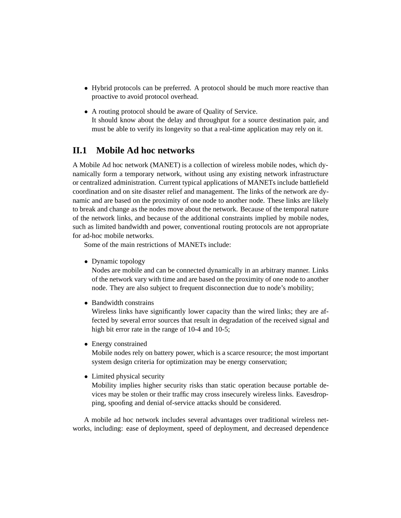- Hybrid protocols can be preferred. A protocol should be much more reactive than proactive to avoid protocol overhead.
- A routing protocol should be aware of Quality of Service. It should know about the delay and throughput for a source destination pair, and must be able to verify its longevity so that a real-time application may rely on it.

### **II.1 Mobile Ad hoc networks**

A Mobile Ad hoc network (MANET) is a collection of wireless mobile nodes, which dynamically form a temporary network, without using any existing network infrastructure or centralized administration. Current typical applications of MANETs include battlefield coordination and on site disaster relief and management. The links of the network are dynamic and are based on the proximity of one node to another node. These links are likely to break and change as the nodes move about the network. Because of the temporal nature of the network links, and because of the additional constraints implied by mobile nodes, such as limited bandwidth and power, conventional routing protocols are not appropriate for ad-hoc mobile networks.

Some of the main restrictions of MANETs include:

• Dynamic topology

Nodes are mobile and can be connected dynamically in an arbitrary manner. Links of the network vary with time and are based on the proximity of one node to another node. They are also subject to frequent disconnection due to node's mobility;

• Bandwidth constrains

Wireless links have significantly lower capacity than the wired links; they are affected by several error sources that result in degradation of the received signal and high bit error rate in the range of 10-4 and 10-5;

• Energy constrained

Mobile nodes rely on battery power, which is a scarce resource; the most important system design criteria for optimization may be energy conservation;

• Limited physical security

Mobility implies higher security risks than static operation because portable devices may be stolen or their traffic may cross insecurely wireless links. Eavesdropping, spoofing and denial of-service attacks should be considered.

A mobile ad hoc network includes several advantages over traditional wireless networks, including: ease of deployment, speed of deployment, and decreased dependence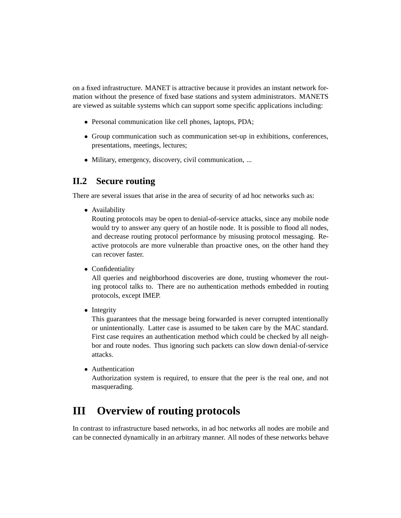on a fixed infrastructure. MANET is attractive because it provides an instant network formation without the presence of fixed base stations and system administrators. MANETS are viewed as suitable systems which can support some specific applications including:

- Personal communication like cell phones, laptops, PDA;
- Group communication such as communication set-up in exhibitions, conferences, presentations, meetings, lectures;
- Military, emergency, discovery, civil communication, ...

### **II.2 Secure routing**

There are several issues that arise in the area of security of ad hoc networks such as:

• Availability

Routing protocols may be open to denial-of-service attacks, since any mobile node would try to answer any query of an hostile node. It is possible to flood all nodes, and decrease routing protocol performance by misusing protocol messaging. Reactive protocols are more vulnerable than proactive ones, on the other hand they can recover faster.

• Confidentiality

All queries and neighborhood discoveries are done, trusting whomever the routing protocol talks to. There are no authentication methods embedded in routing protocols, except IMEP.

• Integrity

This guarantees that the message being forwarded is never corrupted intentionally or unintentionally. Latter case is assumed to be taken care by the MAC standard. First case requires an authentication method which could be checked by all neighbor and route nodes. Thus ignoring such packets can slow down denial-of-service attacks.

• Authentication Authorization system is required, to ensure that the peer is the real one, and not masquerading.

# **III Overview of routing protocols**

In contrast to infrastructure based networks, in ad hoc networks all nodes are mobile and can be connected dynamically in an arbitrary manner. All nodes of these networks behave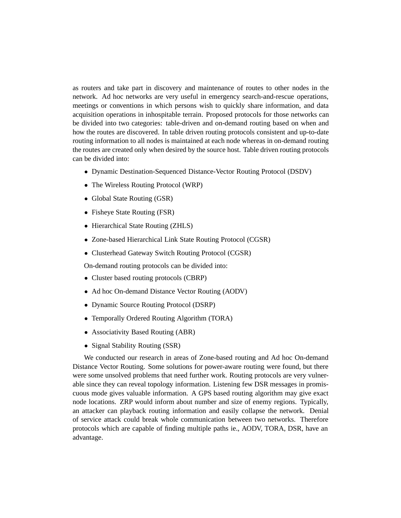as routers and take part in discovery and maintenance of routes to other nodes in the network. Ad hoc networks are very useful in emergency search-and-rescue operations, meetings or conventions in which persons wish to quickly share information, and data acquisition operations in inhospitable terrain. Proposed protocols for those networks can be divided into two categories: table-driven and on-demand routing based on when and how the routes are discovered. In table driven routing protocols consistent and up-to-date routing information to all nodes is maintained at each node whereas in on-demand routing the routes are created only when desired by the source host. Table driven routing protocols can be divided into:

- Dynamic Destination-Sequenced Distance-Vector Routing Protocol (DSDV)
- The Wireless Routing Protocol (WRP)
- Global State Routing (GSR)
- Fisheye State Routing (FSR)
- Hierarchical State Routing (ZHLS)
- Zone-based Hierarchical Link State Routing Protocol (CGSR)
- Clusterhead Gateway Switch Routing Protocol (CGSR)

On-demand routing protocols can be divided into:

- Cluster based routing protocols (CBRP)
- Ad hoc On-demand Distance Vector Routing (AODV)
- Dynamic Source Routing Protocol (DSRP)
- Temporally Ordered Routing Algorithm (TORA)
- Associativity Based Routing (ABR)
- Signal Stability Routing (SSR)

We conducted our research in areas of Zone-based routing and Ad hoc On-demand Distance Vector Routing. Some solutions for power-aware routing were found, but there were some unsolved problems that need further work. Routing protocols are very vulnerable since they can reveal topology information. Listening few DSR messages in promiscuous mode gives valuable information. A GPS based routing algorithm may give exact node locations. ZRP would inform about number and size of enemy regions. Typically, an attacker can playback routing information and easily collapse the network. Denial of service attack could break whole communication between two networks. Therefore protocols which are capable of finding multiple paths ie., AODV, TORA, DSR, have an advantage.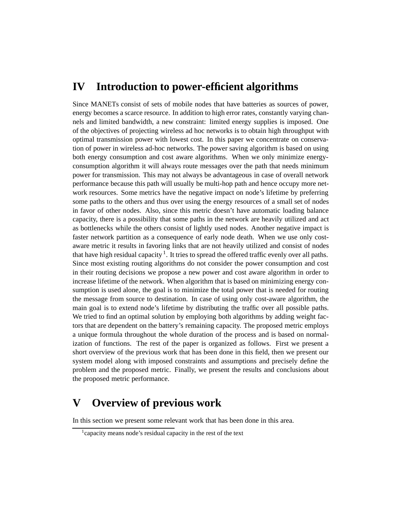# **IV Introduction to power-efficient algorithms**

Since MANETs consist of sets of mobile nodes that have batteries as sources of power, energy becomes a scarce resource. In addition to high error rates, constantly varying channels and limited bandwidth, a new constraint: limited energy supplies is imposed. One of the objectives of projecting wireless ad hoc networks is to obtain high throughput with optimal transmission power with lowest cost. In this paper we concentrate on conservation of power in wireless ad-hoc networks. The power saving algorithm is based on using both energy consumption and cost aware algorithms. When we only minimize energyconsumption algorithm it will always route messages over the path that needs minimum power for transmission. This may not always be advantageous in case of overall network performance because this path will usually be multi-hop path and hence occupy more network resources. Some metrics have the negative impact on node's lifetime by preferring some paths to the others and thus over using the energy resources of a small set of nodes in favor of other nodes. Also, since this metric doesn't have automatic loading balance capacity, there is a possibility that some paths in the network are heavily utilized and act as bottlenecks while the others consist of lightly used nodes. Another negative impact is faster network partition as a consequence of early node death. When we use only costaware metric it results in favoring links that are not heavily utilized and consist of nodes that have high residual capacity  $<sup>1</sup>$ . It tries to spread the offered traffic evenly over all paths.</sup> Since most existing routing algorithms do not consider the power consumption and cost in their routing decisions we propose a new power and cost aware algorithm in order to increase lifetime of the network. When algorithm that is based on minimizing energy consumption is used alone, the goal is to minimize the total power that is needed for routing the message from source to destination. In case of using only cost-aware algorithm, the main goal is to extend node's lifetime by distributing the traffic over all possible paths. We tried to find an optimal solution by employing both algorithms by adding weight factors that are dependent on the battery's remaining capacity. The proposed metric employs a unique formula throughout the whole duration of the process and is based on normalization of functions. The rest of the paper is organized as follows. First we present a short overview of the previous work that has been done in this field, then we present our system model along with imposed constraints and assumptions and precisely define the problem and the proposed metric. Finally, we present the results and conclusions about the proposed metric performance.

### **V Overview of previous work**

In this section we present some relevant work that has been done in this area.

<sup>1</sup>capacity means node's residual capacity in the rest of the text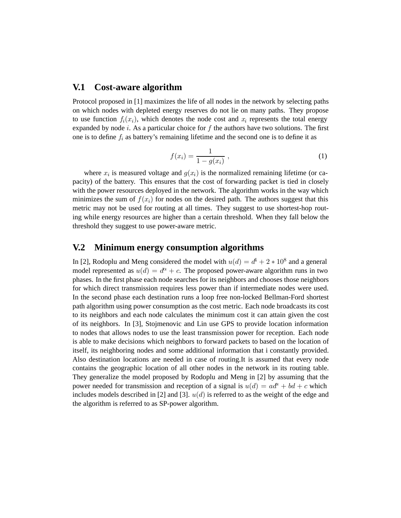#### **V.1 Cost-aware algorithm**

Protocol proposed in [1] maximizes the life of all nodes in the network by selecting paths on which nodes with depleted energy reserves do not lie on many paths. They propose to use function  $f_i(x_i)$ , which denotes the node cost and  $x_i$  represents the total energy expanded by node *i*. As a particular choice for *f* the authors have two solutions. The first one is to define  $f_i$  as battery's remaining lifetime and the second one is to define it as

$$
f(x_i) = \frac{1}{1 - g(x_i)} \,,\tag{1}
$$

where  $x_i$  is measured voltage and  $g(x_i)$  is the normalized remaining lifetime (or capacity) of the battery. This ensures that the cost of forwarding packet is tied in closely with the power resources deployed in the network. The algorithm works in the way which minimizes the sum of  $f(x_i)$  for nodes on the desired path. The authors suggest that this metric may not be used for routing at all times. They suggest to use shortest-hop routing while energy resources are higher than a certain threshold. When they fall below the threshold they suggest to use power-aware metric.

#### **V.2 Minimum energy consumption algorithms**

In [2], Rodoplu and Meng considered the model with  $u(d) = d^4 + 2 * 10^8$  and a general model represented as  $u(d) = d^{\alpha} + c$ . The proposed power-aware algorithm runs in two phases. In the first phase each node searches for its neighbors and chooses those neighbors for which direct transmission requires less power than if intermediate nodes were used. In the second phase each destination runs a loop free non-locked Bellman-Ford shortest path algorithm using power consumption as the cost metric. Each node broadcasts its cost to its neighbors and each node calculates the minimum cost it can attain given the cost of its neighbors. In [3], Stojmenovic and Lin use GPS to provide location information to nodes that allows nodes to use the least transmission power for reception. Each node is able to make decisions which neighbors to forward packets to based on the location of itself, its neighboring nodes and some additional information that i constantly provided. Also destination locations are needed in case of routing.It is assumed that every node contains the geographic location of all other nodes in the network in its routing table. They generalize the model proposed by Rodoplu and Meng in [2] by assuming that the power needed for transmission and reception of a signal is  $u(d) = ad^{\alpha} + bd + c$  which includes models described in [2] and [3]. *u*(*d*) is referred to as the weight of the edge and the algorithm is referred to as SP-power algorithm.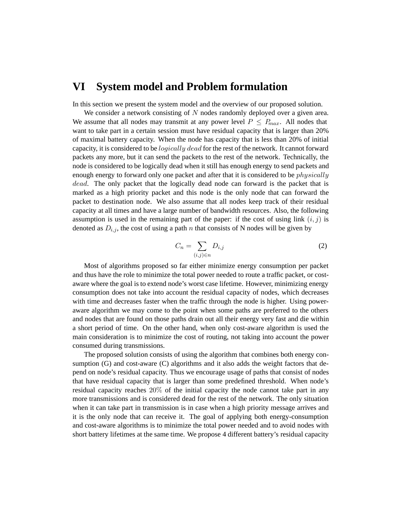### **VI System model and Problem formulation**

In this section we present the system model and the overview of our proposed solution.

We consider a network consisting of *N* nodes randomly deployed over a given area. We assume that all nodes may transmit at any power level  $P \leq P_{max}$ . All nodes that want to take part in a certain session must have residual capacity that is larger than 20% of maximal battery capacity. When the node has capacity that is less than 20% of initial capacity, it is considered to be *logically dead* for the rest of the network. It cannot forward packets any more, but it can send the packets to the rest of the network. Technically, the node is considered to be logically dead when it still has enough energy to send packets and enough energy to forward only one packet and after that it is considered to be *physically dead*. The only packet that the logically dead node can forward is the packet that is marked as a high priority packet and this node is the only node that can forward the packet to destination node. We also assume that all nodes keep track of their residual capacity at all times and have a large number of bandwidth resources. Also, the following assumption is used in the remaining part of the paper: if the cost of using link  $(i, j)$  is denoted as  $D_{i,j}$ , the cost of using a path *n* that consists of N nodes will be given by

$$
C_n = \sum_{(i,j)\in n} D_{i,j} \tag{2}
$$

Most of algorithms proposed so far either minimize energy consumption per packet and thus have the role to minimize the total power needed to route a traffic packet, or costaware where the goal is to extend node's worst case lifetime. However, minimizing energy consumption does not take into account the residual capacity of nodes, which decreases with time and decreases faster when the traffic through the node is higher. Using poweraware algorithm we may come to the point when some paths are preferred to the others and nodes that are found on those paths drain out all their energy very fast and die within a short period of time. On the other hand, when only cost-aware algorithm is used the main consideration is to minimize the cost of routing, not taking into account the power consumed during transmissions.

The proposed solution consists of using the algorithm that combines both energy consumption (G) and cost-aware (C) algorithms and it also adds the weight factors that depend on node's residual capacity. Thus we encourage usage of paths that consist of nodes that have residual capacity that is larger than some predefined threshold. When node's residual capacity reaches 20% of the initial capacity the node cannot take part in any more transmissions and is considered dead for the rest of the network. The only situation when it can take part in transmission is in case when a high priority message arrives and it is the only node that can receive it. The goal of applying both energy-consumption and cost-aware algorithms is to minimize the total power needed and to avoid nodes with short battery lifetimes at the same time. We propose 4 different battery's residual capacity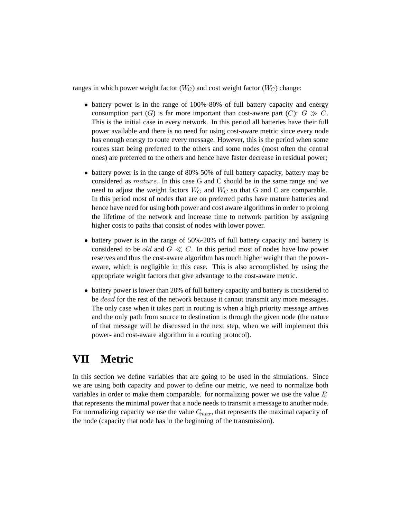ranges in which power weight factor  $(W_G)$  and cost weight factor  $(W_C)$  change:

- battery power is in the range of 100%-80% of full battery capacity and energy consumption part  $(G)$  is far more important than cost-aware part  $(C)$ :  $G \gg C$ . This is the initial case in every network. In this period all batteries have their full power available and there is no need for using cost-aware metric since every node has enough energy to route every message. However, this is the period when some routes start being preferred to the others and some nodes (most often the central ones) are preferred to the others and hence have faster decrease in residual power;
- battery power is in the range of 80%-50% of full battery capacity, battery may be considered as *mature*. In this case G and C should be in the same range and we need to adjust the weight factors  $W_G$  and  $W_C$  so that G and C are comparable. In this period most of nodes that are on preferred paths have mature batteries and hence have need for using both power and cost aware algorithms in order to prolong the lifetime of the network and increase time to network partition by assigning higher costs to paths that consist of nodes with lower power.
- battery power is in the range of 50%-20% of full battery capacity and battery is considered to be *old* and  $G \ll C$ . In this period most of nodes have low power reserves and thus the cost-aware algorithm has much higher weight than the poweraware, which is negligible in this case. This is also accomplished by using the appropriate weight factors that give advantage to the cost-aware metric.
- battery power is lower than 20% of full battery capacity and battery is considered to be *dead* for the rest of the network because it cannot transmit any more messages. The only case when it takes part in routing is when a high priority message arrives and the only path from source to destination is through the given node (the nature of that message will be discussed in the next step, when we will implement this power- and cost-aware algorithm in a routing protocol).

# **VII Metric**

In this section we define variables that are going to be used in the simulations. Since we are using both capacity and power to define our metric, we need to normalize both variables in order to make them comparable. for normalizing power we use the value  $P<sub>b</sub>$ that represents the minimal power that a node needs to transmit a message to another node. For normalizing capacity we use the value  $C_{max}$ , that represents the maximal capacity of the node (capacity that node has in the beginning of the transmission).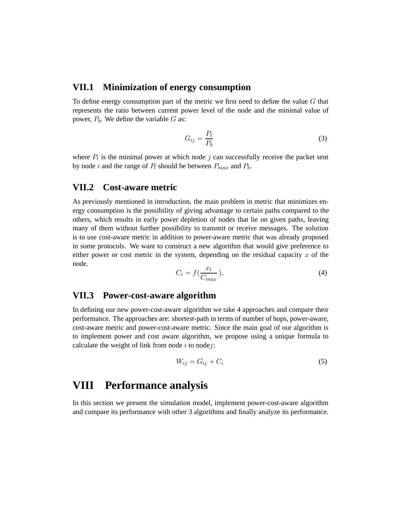### **VII.1 Minimization of energy consumption**

To define energy consumption part of the metric we first need to define the value *G* that represents the ratio between current power level of the node and the minimal value of power,  $P_b$ . We define the variable  $G$  as:

$$
G_{ij} = \frac{P_t}{P_b} \tag{3}
$$

where  $P_t$  is the minimal power at which node  $j$  can successfully receive the packet sent by node *i* and the range of  $P_t$  should be between  $P_{max}$  and  $P_b$ .

#### **VII.2 Cost-aware metric**

As previously mentioned in introduction, the main problem in metric that minimizes energy consumption is the possibility of giving advantage to certain paths compared to the others, which results in early power depletion of nodes that lie on given paths, leaving many of them without further possibility to transmit or receive messages. The solution is to use cost-aware metric in addition to power-aware metric that was already proposed in some protocols. We want to construct a new algorithm that would give preference to either power or cost metric in the system, depending on the residual capacity *x* of the node.

$$
C_i = f(\frac{x_i}{C_{max}}),\tag{4}
$$

#### **VII.3 Power-cost-aware algorithm**

In defining our new power-cost-aware algorithm we take 4 approaches and compare their performance. The approaches are: shortest-path in terms of number of hops, power-aware, cost-aware metric and power-cost-aware metric. Since the main goal of our algorithm is to implement power and cost aware algorithm, we propose using a unique formula to calculate the weight of link from node *i* to node*j*:

$$
W_{ij} = G_{ij} + C_i \tag{5}
$$

# **VIII Performance analysis**

In this section we present the simulation model, implement power-cost-aware algorithm and compare its performance with other 3 algorithms and finally analyze its performance.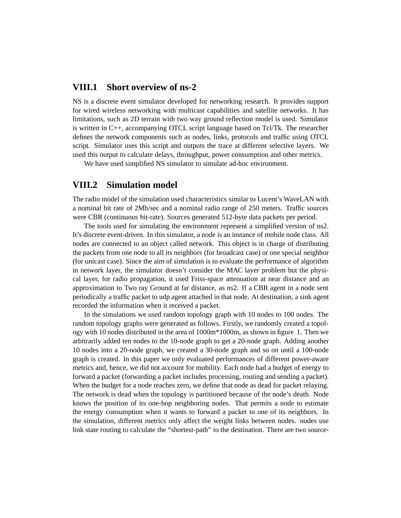#### **VIII.1 Short overview of ns-2**

NS is a discrete event simulator developed for networking research. It provides support for wired wireless networking with multicast capabilities and satellite networks. It has limitations, such as 2D terrain with two way ground reflection model is used. Simulator is written in C++, accompanying OTCL script language based on Tcl/Tk. The researcher defines the network components such as nodes, links, protocols and traffic using OTCL script. Simulator uses this script and outputs the trace at different selective layers. We used this output to calculate delays, throughput, power consumption and other metrics.

We have used simplified NS simulator to simulate ad-hoc environment.

#### **VIII.2 Simulation model**

The radio model of the simulation used characteristics similar to Lucent's WaveLAN with a nominal bit rate of 2Mb/sec and a nominal radio range of 250 meters. Traffic sources were CBR (continuous bit-rate). Sources generated 512-byte data packets per period.

The tools used for simulating the environment represent a simplified version of ns2. It's discrete event-driven. In this simulator, a node is an instance of mobile node class. All nodes are connected to an object called network. This object is in charge of distributing the packets from one node to all its neighbors (for broadcast case) or one special neighbor (for unicast case). Since the aim of simulation is to evaluate the performance of algorithm in network layer, the simulator doesn't consider the MAC layer problem but the physical layer, for radio propagation, it used Friss-space attenuation at near distance and an approximation to Two ray Ground at far distance, as ns2. If a CBR agent in a node sent periodically a traffic packet to udp agent attached in that node. At destination, a sink agent recorded the information when it received a packet.

In the simulations we used random topology graph with 10 nodes to 100 nodes. The random topology graphs were generated as follows. Firstly, we randomly created a topology with 10 nodes distributed in the area of 1000m\*1000m, as shown in figure 1. Then we arbitrarily added ten nodes to the 10-node graph to get a 20-node graph. Adding another 10 nodes into a 20-node graph, we created a 30-node graph and so on until a 100-node graph is created. In this paper we only evaluated performances of different power-aware metrics and, hence, we did not account for mobility. Each node had a budget of energy to forward a packet (forwarding a packet includes processing, routing and sending a packet). When the budget for a node reaches zero, we define that node as dead for packet relaying. The network is dead when the topology is partitioned because of the node's death. Node knows the position of its one-hop neighboring nodes. That permits a node to estimate the energy consumption when it wants to forward a packet to one of its neighbors. In the simulation, different metrics only affect the weight links between nodes. nodes use link state routing to calculate the "shortest-path" to the destination. There are two source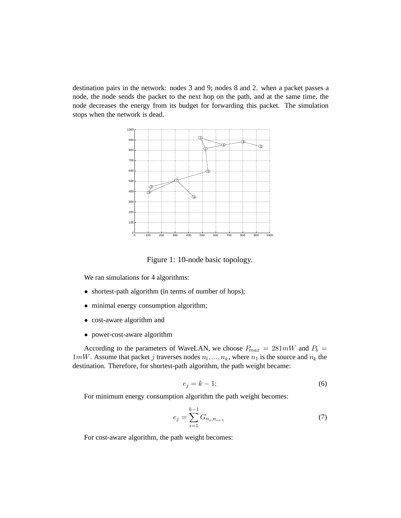destination pairs in the network: nodes 3 and 9; nodes 8 and 2. when a packet passes a node, the node sends the packet to the next hop on the path, and at the same time, the node decreases the energy from its budget for forwarding this packet. The simulation stops when the network is dead.



Figure 1: 10-node basic topology.

We ran simulations for 4 algorithms:

- shortest-path algorithm (in terms of number of hops);
- minimal energy consumption algorithm;
- cost-aware algorithm and
- power-cost-aware algorithm

According to the parameters of WaveLAN, we choose  $P_{max} = 281 \text{mW}$  and  $P_b =$ 1*mW*. Assume that packet *j* traverses nodes  $n_1, ..., n_k$ , where  $n_1$  is the source and  $n_k$  the destination. Therefore, for shortest-path algorithm, the path weight became:

$$
e_j = k - 1; \tag{6}
$$

For minimum energy consumption algorithm the path weight becomes:

$$
e_j = \sum_{i=1}^{k-1} G_{n_i, n_{i+1}} \tag{7}
$$

For cost-aware algorithm, the path weight becomes: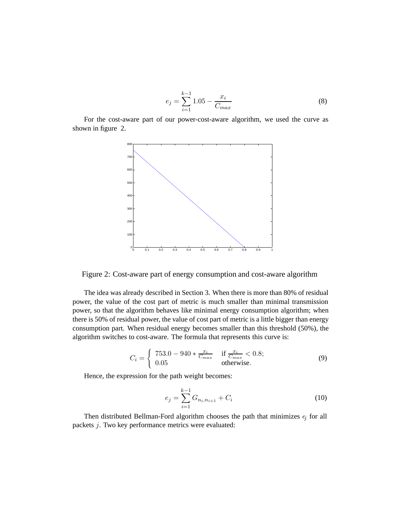$$
e_j = \sum_{i=1}^{k-1} 1.05 - \frac{x_i}{C_{max}} \tag{8}
$$

For the cost-aware part of our power-cost-aware algorithm, we used the curve as shown in figure 2.



Figure 2: Cost-aware part of energy consumption and cost-aware algorithm

The idea was already described in Section 3. When there is more than 80% of residual power, the value of the cost part of metric is much smaller than minimal transmission power, so that the algorithm behaves like minimal energy consumption algorithm; when there is 50% of residual power, the value of cost part of metric is a little bigger than energy consumption part. When residual energy becomes smaller than this threshold (50%), the algorithm switches to cost-aware. The formula that represents this curve is:

$$
C_i = \begin{cases} \n753.0 - 940 * \frac{x_i}{C_{max}} & \text{if } \frac{x_i}{C_{max}} < 0.8; \\ \n0.05 & \text{otherwise.} \n\end{cases} \tag{9}
$$

Hence, the expression for the path weight becomes:

$$
e_j = \sum_{i=1}^{k-1} G_{n_i, n_{i+1}} + C_i
$$
 (10)

Then distributed Bellman-Ford algorithm chooses the path that minimizes *e*<sup>j</sup> for all packets *j*. Two key performance metrics were evaluated: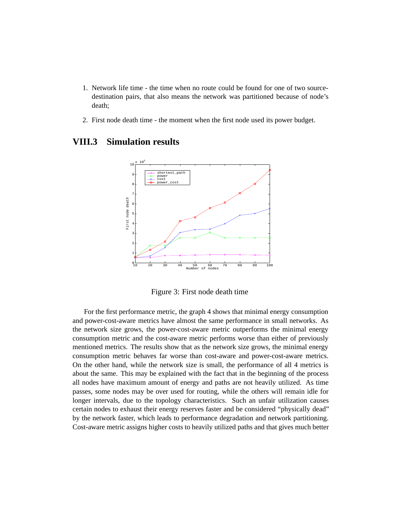- 1. Network life time the time when no route could be found for one of two sourcedestination pairs, that also means the network was partitioned because of node's death;
- 2. First node death time the moment when the first node used its power budget.



### **VIII.3 Simulation results**

Figure 3: First node death time

For the first performance metric, the graph 4 shows that minimal energy consumption and power-cost-aware metrics have almost the same performance in small networks. As the network size grows, the power-cost-aware metric outperforms the minimal energy consumption metric and the cost-aware metric performs worse than either of previously mentioned metrics. The results show that as the network size grows, the minimal energy consumption metric behaves far worse than cost-aware and power-cost-aware metrics. On the other hand, while the network size is small, the performance of all 4 metrics is about the same. This may be explained with the fact that in the beginning of the process all nodes have maximum amount of energy and paths are not heavily utilized. As time passes, some nodes may be over used for routing, while the others will remain idle for longer intervals, due to the topology characteristics. Such an unfair utilization causes certain nodes to exhaust their energy reserves faster and be considered "physically dead" by the network faster, which leads to performance degradation and network partitioning. Cost-aware metric assigns higher costs to heavily utilized paths and that gives much better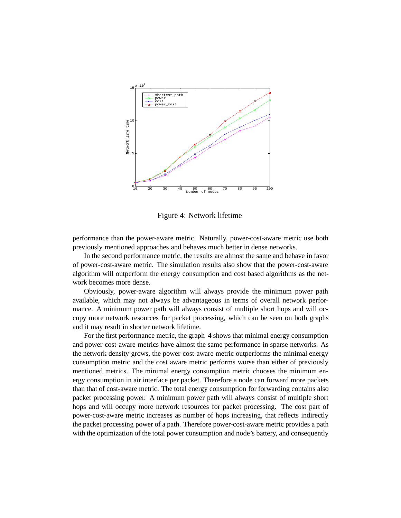

Figure 4: Network lifetime

performance than the power-aware metric. Naturally, power-cost-aware metric use both previously mentioned approaches and behaves much better in dense networks.

In the second performance metric, the results are almost the same and behave in favor of power-cost-aware metric. The simulation results also show that the power-cost-aware algorithm will outperform the energy consumption and cost based algorithms as the network becomes more dense.

Obviously, power-aware algorithm will always provide the minimum power path available, which may not always be advantageous in terms of overall network performance. A minimum power path will always consist of multiple short hops and will occupy more network resources for packet processing, which can be seen on both graphs and it may result in shorter network lifetime.

For the first performance metric, the graph 4 shows that minimal energy consumption and power-cost-aware metrics have almost the same performance in sparse networks. As the network density grows, the power-cost-aware metric outperforms the minimal energy consumption metric and the cost aware metric performs worse than either of previously mentioned metrics. The minimal energy consumption metric chooses the minimum energy consumption in air interface per packet. Therefore a node can forward more packets than that of cost-aware metric. The total energy consumption for forwarding contains also packet processing power. A minimum power path will always consist of multiple short hops and will occupy more network resources for packet processing. The cost part of power-cost-aware metric increases as number of hops increasing, that reflects indirectly the packet processing power of a path. Therefore power-cost-aware metric provides a path with the optimization of the total power consumption and node's battery, and consequently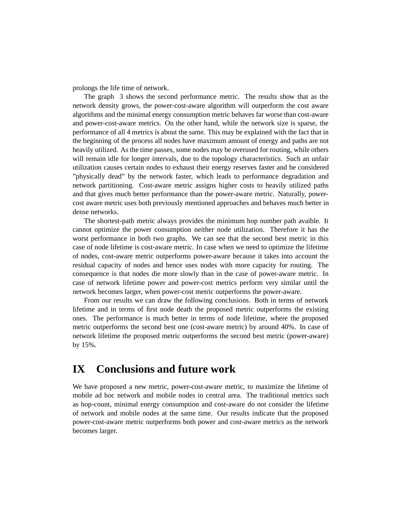prolongs the life time of network.

The graph 3 shows the second performance metric. The results show that as the network density grows, the power-cost-aware algorithm will outperform the cost aware algorithms and the minimal energy consumption metric behaves far worse than cost-aware and power-cost-aware metrics. On the other hand, while the network size is sparse, the performance of all 4 metrics is about the same. This may be explained with the fact that in the beginning of the process all nodes have maximum amount of energy and paths are not heavily utilized. As the time passes, some nodes may be overused for routing, while others will remain idle for longer intervals, due to the topology characteristics. Such an unfair utilization causes certain nodes to exhaust their energy reserves faster and be considered "physically dead" by the network faster, which leads to performance degradation and network partitioning. Cost-aware metric assigns higher costs to heavily utilized paths and that gives much better performance than the power-aware metric. Naturally, powercost aware metric uses both previously mentioned approaches and behaves much better in dense networks.

The shortest-path metric always provides the minimum hop number path avaible. It cannot optimize the power consumption neither node utilization. Therefore it has the worst performance in both two graphs. We can see that the second best metric in this case of node lifetime is cost-aware metric. In case when we need to optimize the lifetime of nodes, cost-aware metric outperforms power-aware because it takes into account the residual capacity of nodes and hence uses nodes with more capacity for routing. The consequence is that nodes die more slowly than in the case of power-aware metric. In case of network lifetime power and power-cost metrics perform very similar until the network becomes larger, when power-cost metric outperforms the power-aware.

From our results we can draw the following conclusions. Both in terms of network lifetime and in terms of first node death the proposed metric outperforms the existing ones. The performance is much better in terms of node lifetime, where the proposed metric outperforms the second best one (cost-aware metric) by around 40%. In case of network lifetime the proposed metric outperforms the second best metric (power-aware) by 15%.

### **IX Conclusions and future work**

We have proposed a new metric, power-cost-aware metric, to maximize the lifetime of mobile ad hoc network and mobile nodes in central area. The traditional metrics such as hop-count, minimal energy consumption and cost-aware do not consider the lifetime of network and mobile nodes at the same time. Our results indicate that the proposed power-cost-aware metric outperforms both power and cost-aware metrics as the network becomes larger.